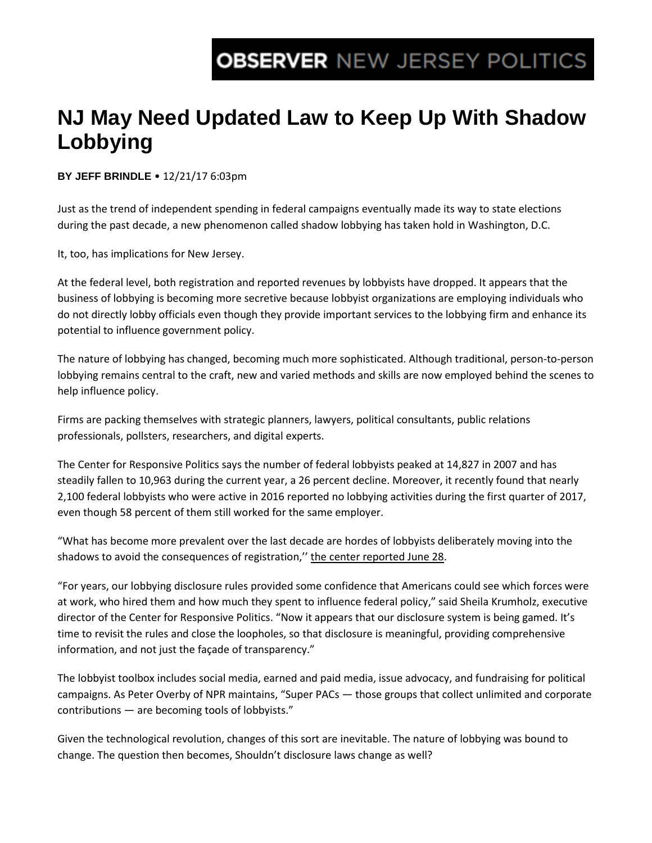## **OBSERVER NEW JERSEY POLITICS**

## **NJ May Need Updated Law to Keep Up With Shadow Lobbying**

**BY JEFF BRINDLE** • 12/21/17 6:03pm

Just as the trend of independent spending in federal campaigns eventually made its way to state elections during the past decade, a new phenomenon called shadow lobbying has taken hold in Washington, D.C.

It, too, has implications for New Jersey.

At the federal level, both registration and reported revenues by lobbyists have dropped. It appears that the business of lobbying is becoming more secretive because lobbyist organizations are employing individuals who do not directly lobby officials even though they provide important services to the lobbying firm and enhance its potential to influence government policy.

The nature of lobbying has changed, becoming much more sophisticated. Although traditional, person-to-person lobbying remains central to the craft, new and varied methods and skills are now employed behind the scenes to help influence policy.

Firms are packing themselves with strategic planners, lawyers, political consultants, public relations professionals, pollsters, researchers, and digital experts.

The Center for Responsive Politics says the number of federal lobbyists peaked at 14,827 in 2007 and has steadily fallen to 10,963 during the current year, a 26 percent decline. Moreover, it recently found that nearly 2,100 federal lobbyists who were active in 2016 reported no lobbying activities during the first quarter of 2017, even though 58 percent of them still worked for the same employer.

"What has become more prevalent over the last decade are hordes of lobbyists deliberately moving into the shadows to avoid the consequences of registration," the center reported June 28.

"For years, our lobbying disclosure rules provided some confidence that Americans could see which forces were at work, who hired them and how much they spent to influence federal policy," said Sheila Krumholz, executive director of the Center for Responsive Politics. "Now it appears that our disclosure system is being gamed. It's time to revisit the rules and close the loopholes, so that disclosure is meaningful, providing comprehensive information, and not just the façade of transparency."

The lobbyist toolbox includes social media, earned and paid media, issue advocacy, and fundraising for political campaigns. As Peter Overby of NPR maintains, "Super PACs — those groups that collect unlimited and corporate contributions — are becoming tools of lobbyists."

Given the technological revolution, changes of this sort are inevitable. The nature of lobbying was bound to change. The question then becomes, Shouldn't disclosure laws change as well?